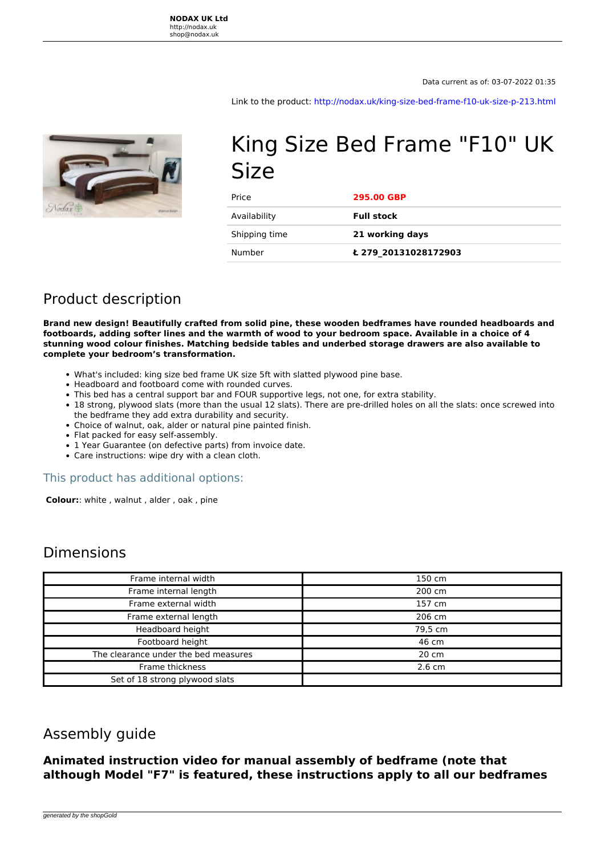**NODAX UK Ltd** http://nodax.uk shop@nodax.uk

Data current as of: 03-07-2022 01:35

Link to the product:<http://nodax.uk/king-size-bed-frame-f10-uk-size-p-213.html>



# King Size Bed Frame "F10" UK Size

| Price         | <b>295.00 GBP</b>    |
|---------------|----------------------|
| Availability  | <b>Full stock</b>    |
| Shipping time | 21 working days      |
| Number        | £ 279 20131028172903 |

# Product description

**Brand new design! Beautifully crafted from solid pine, these wooden bedframes have rounded headboards and footboards, adding softer lines and the warmth of wood to your bedroom space. Available in a choice of 4 stunning wood colour finishes. Matching bedside tables and underbed storage drawers are also available to complete your bedroom's transformation.** 

- What's included: king size bed frame UK size 5ft with slatted plywood pine base.
- Headboard and footboard come with rounded curves.
- This bed has a central support bar and FOUR supportive legs, not one, for extra stability.
- 18 strong, plywood slats (more than the usual 12 slats). There are pre-drilled holes on all the slats: once screwed into the bedframe they add extra durability and security.
- Choice of walnut, oak, alder or natural pine painted finish.
- Flat packed for easy self-assembly.
- 1 Year Guarantee (on defective parts) from invoice date.
- Care instructions: wipe dry with a clean cloth.

#### This product has additional options:

 **Colour:**: white , walnut , alder , oak , pine

### Dimensions

| Frame internal width                 | 150 cm           |
|--------------------------------------|------------------|
| Frame internal length                | 200 cm           |
| Frame external width                 | 157 cm           |
| Frame external length                | 206 cm           |
| Headboard height                     | 79,5 cm          |
| Footboard height                     | 46 cm            |
| The clearance under the bed measures | 20 cm            |
| Frame thickness                      | $2.6 \text{ cm}$ |
| Set of 18 strong plywood slats       |                  |

## Assembly guide

**Animated instruction video for manual assembly of bedframe (note that although Model "F7" is featured, these instructions apply to all our bedframes**